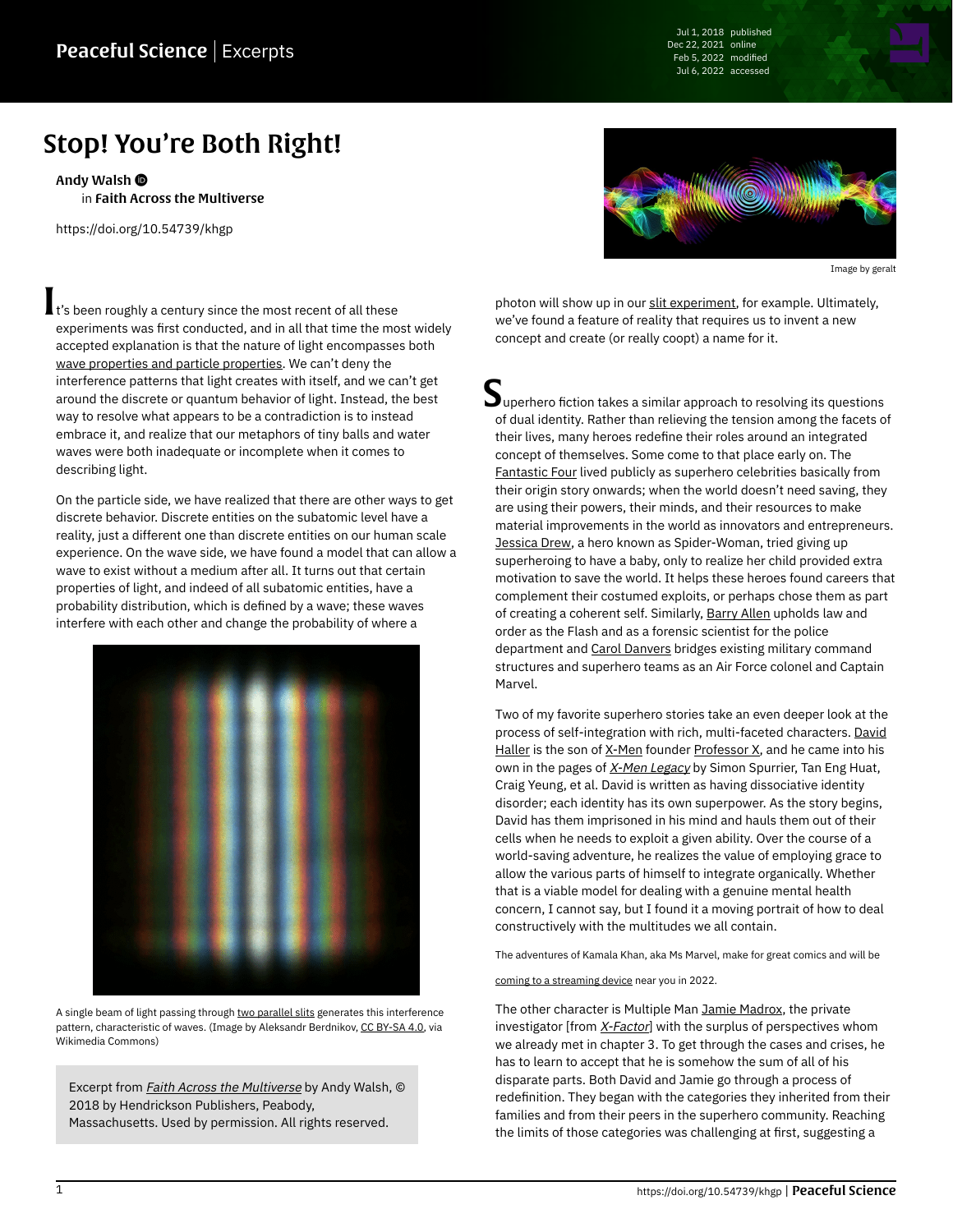Jul 1, 2018 published Dec 22, 2021 online Feb 5, 2022 modified Jul 6, 2022 accessed

## Stop! You're Both Right!

[Andy Walsh](https://peacefulscience.org/authors/awalsh/) in [Faith Across the Multiverse](https://peacefulscience.org/books/faith-across-multiverse/)

<https://doi.org/10.54739/khgp>



Image by [geralt](https://pixabay.com/illustrations/particles-waves-circles-colour-1435356)

t's been roughly a century since the most recent of all these experiments was first conducted, and in all that time the most widely accepted explanation is that the nature of light encompasses both [wave properties and particle properties](https://en.wikipedia.org/wiki/Wave%E2%80%93particle_duality). We can't deny the interference patterns that light creates with itself, and we can't get around the discrete or quantum behavior of light. Instead, the best way to resolve what appears to be a contradiction is to instead embrace it, and realize that our metaphors of tiny balls and water waves were both inadequate or incomplete when it comes to describing light.

On the particle side, we have realized that there are other ways to get discrete behavior. Discrete entities on the subatomic level have a reality, just a different one than discrete entities on our human scale experience. On the wave side, we have found a model that can allow a wave to exist without a medium after all. It turns out that certain properties of light, and indeed of all subatomic entities, have a probability distribution, which is defined by a wave; these waves interfere with each other and change the probability of where a



A single beam of light passing through [two parallel slits](https://en.wikipedia.org/wiki/Double-slit_experiment) generates this interference pattern, characteristic of waves. (Image by Aleksandr Berdnikov, [CC BY-SA 4.0](https://creativecommons.org/licenses/by-sa/4.0), via Wikimedia Commons)

Excerpt from *[Faith Across the Multiverse](https://peacefulscience.org/books/faith-across-multiverse/)* by Andy Walsh, © 2018 by Hendrickson Publishers, Peabody, Massachusetts. Used by permission. All rights reserved.

photon will show up in our [slit experiment,](https://en.wikipedia.org/wiki/Double-slit_experiment) for example. Ultimately, we've found a feature of reality that requires us to invent a new concept and create (or really coopt) a name for it.

 ${\mathbf S}$ uperhero fiction takes a similar approach to resolving its questions of dual identity. Rather than relieving the tension among the facets of their lives, many heroes redefine their roles around an integrated concept of themselves. Some come to that place early on. The [Fantastic Four](https://marvel.fandom.com/wiki/Fantastic_Four_%28Earth-616%29) lived publicly as superhero celebrities basically from their origin story onwards; when the world doesn't need saving, they are using their powers, their minds, and their resources to make material improvements in the world as innovators and entrepreneurs. [Jessica Drew](https://marvel.fandom.com/wiki/Jessica_Drew_%28Earth-616%29), a hero known as Spider-Woman, tried giving up superheroing to have a baby, only to realize her child provided extra motivation to save the world. It helps these heroes found careers that complement their costumed exploits, or perhaps chose them as part of creating a coherent self. Similarly, [Barry Allen](https://dc.fandom.com/wiki/Flash_%28Barry_Allen%29) upholds law and order as the Flash and as a forensic scientist for the police department and [Carol Danvers](https://marvel.fandom.com/wiki/Carol_Danvers_%28Earth-616%29) bridges existing military command structures and superhero teams as an Air Force colonel and Captain Marvel.

Two of my favorite superhero stories take an even deeper look at the process of self-integration with rich, multi-faceted characters. [David](https://marvel.fandom.com/wiki/David_Haller_%28Earth-616%29) [Haller](https://marvel.fandom.com/wiki/David_Haller_%28Earth-616%29) is the son of [X-Men](https://marvel.fandom.com/wiki/X-Men_%28Earth-616%29) founder [Professor X](https://marvel.fandom.com/wiki/Charles_Xavier_%28Earth-616%29), and he came into his own in the pages of [X-Men Legacy](https://amazon.com/dp/B07JX5MWCP/?tag=swamidass-20) by Simon Spurrier, Tan Eng Huat, Craig Yeung, et al. David is written as having dissociative identity disorder; each identity has its own superpower. As the story begins, David has them imprisoned in his mind and hauls them out of their cells when he needs to exploit a given ability. Over the course of a world-saving adventure, he realizes the value of employing grace to allow the various parts of himself to integrate organically. Whether that is a viable model for dealing with a genuine mental health concern, I cannot say, but I found it a moving portrait of how to deal constructively with the multitudes we all contain.

The adventures of Kamala Khan, aka Ms Marvel, make for great comics and will be

[coming to a streaming device](https://marvel.fandom.com/wiki/Kamala_Khan_%28Earth-616%29) near you in 2022.

The other character is Multiple Man [Jamie Madrox,](https://marvel.fandom.com/wiki/James_Madrox_%28Earth-616%29) the private investigator [from [X-Factor](https://amazon.com/dp/B09GXXYQJ4/?tag=swamidass-20)] with the surplus of perspectives whom we already met in chapter 3. To get through the cases and crises, he has to learn to accept that he is somehow the sum of all of his disparate parts. Both David and Jamie go through a process of redefinition. They began with the categories they inherited from their families and from their peers in the superhero community. Reaching the limits of those categories was challenging at first, suggesting a